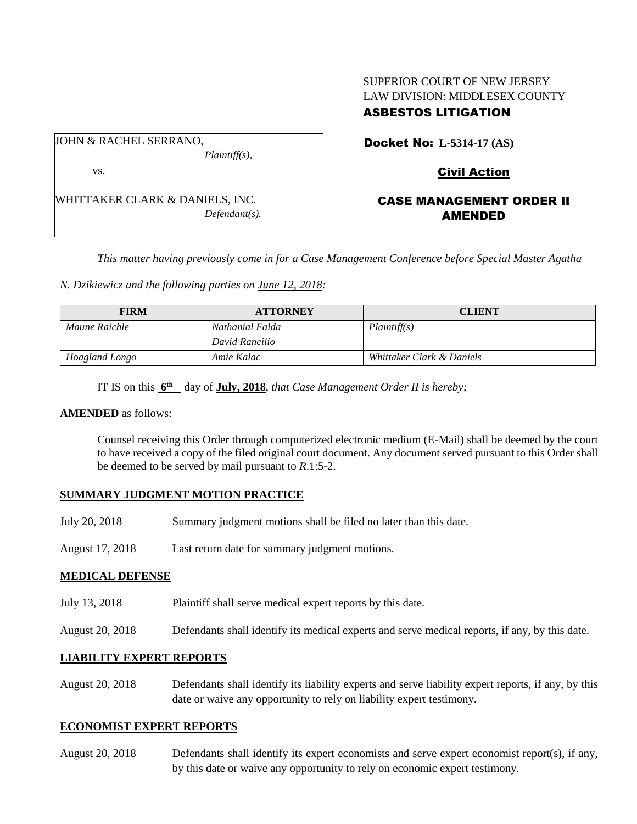## SUPERIOR COURT OF NEW JERSEY LAW DIVISION: MIDDLESEX COUNTY ASBESTOS LITIGATION

JOHN & RACHEL SERRANO, *Plaintiff(s),*

vs.

WHITTAKER CLARK & DANIELS, INC. *Defendant(s).* Docket No: **L-5314-17 (AS)** 

# Civil Action

## CASE MANAGEMENT ORDER II AMENDED

*This matter having previously come in for a Case Management Conference before Special Master Agatha* 

*N. Dzikiewicz and the following parties on June 12, 2018:*

| <b>FIRM</b>    | <b>ATTORNEY</b> | <b>CLIENT</b>             |
|----------------|-----------------|---------------------------|
| Maune Raichle  | Nathanial Falda | Plaintiff(s)              |
|                | David Rancilio  |                           |
| Hoagland Longo | Amie Kalac      | Whittaker Clark & Daniels |

IT IS on this  $6^{\text{th}}$  day of **July, 2018**, *that Case Management Order II is hereby*;

#### **AMENDED** as follows:

Counsel receiving this Order through computerized electronic medium (E-Mail) shall be deemed by the court to have received a copy of the filed original court document. Any document served pursuant to this Order shall be deemed to be served by mail pursuant to *R*.1:5-2.

## **SUMMARY JUDGMENT MOTION PRACTICE**

- July 20, 2018 Summary judgment motions shall be filed no later than this date.
- August 17, 2018 Last return date for summary judgment motions.

### **MEDICAL DEFENSE**

- July 13, 2018 Plaintiff shall serve medical expert reports by this date.
- August 20, 2018 Defendants shall identify its medical experts and serve medical reports, if any, by this date.

### **LIABILITY EXPERT REPORTS**

August 20, 2018 Defendants shall identify its liability experts and serve liability expert reports, if any, by this date or waive any opportunity to rely on liability expert testimony.

### **ECONOMIST EXPERT REPORTS**

August 20, 2018 Defendants shall identify its expert economists and serve expert economist report(s), if any, by this date or waive any opportunity to rely on economic expert testimony.